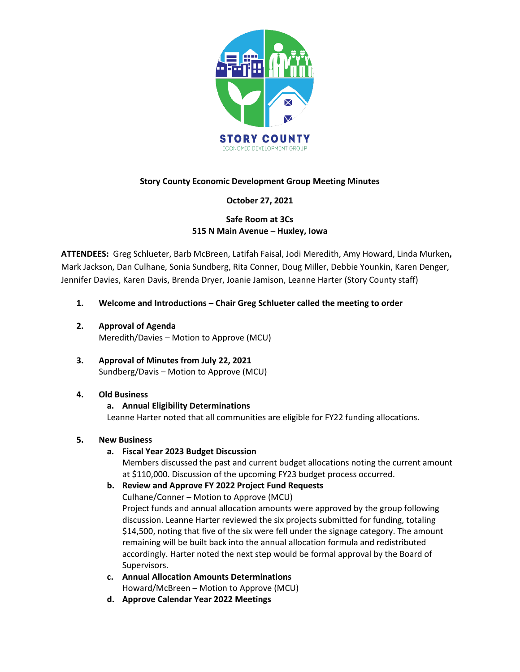

# **Story County Economic Development Group Meeting Minutes**

# **October 27, 2021**

# **Safe Room at 3Cs 515 N Main Avenue – Huxley, Iowa**

**ATTENDEES:** Greg Schlueter, Barb McBreen, Latifah Faisal, Jodi Meredith, Amy Howard, Linda Murken**,**  Mark Jackson, Dan Culhane, Sonia Sundberg, Rita Conner, Doug Miller, Debbie Younkin, Karen Denger, Jennifer Davies, Karen Davis, Brenda Dryer, Joanie Jamison, Leanne Harter (Story County staff)

- **1. Welcome and Introductions – Chair Greg Schlueter called the meeting to order**
- **2. Approval of Agenda**  Meredith/Davies – Motion to Approve (MCU)
- **3. Approval of Minutes from July 22, 2021** Sundberg/Davis – Motion to Approve (MCU)
- **4. Old Business**

# **a. Annual Eligibility Determinations**

Leanne Harter noted that all communities are eligible for FY22 funding allocations.

## **5. New Business**

**a. Fiscal Year 2023 Budget Discussion**

Members discussed the past and current budget allocations noting the current amount at \$110,000. Discussion of the upcoming FY23 budget process occurred.

**b. Review and Approve FY 2022 Project Fund Requests**

Culhane/Conner – Motion to Approve (MCU)

Project funds and annual allocation amounts were approved by the group following discussion. Leanne Harter reviewed the six projects submitted for funding, totaling \$14,500, noting that five of the six were fell under the signage category. The amount remaining will be built back into the annual allocation formula and redistributed accordingly. Harter noted the next step would be formal approval by the Board of Supervisors.

- **c. Annual Allocation Amounts Determinations** Howard/McBreen – Motion to Approve (MCU)
- **d. Approve Calendar Year 2022 Meetings**